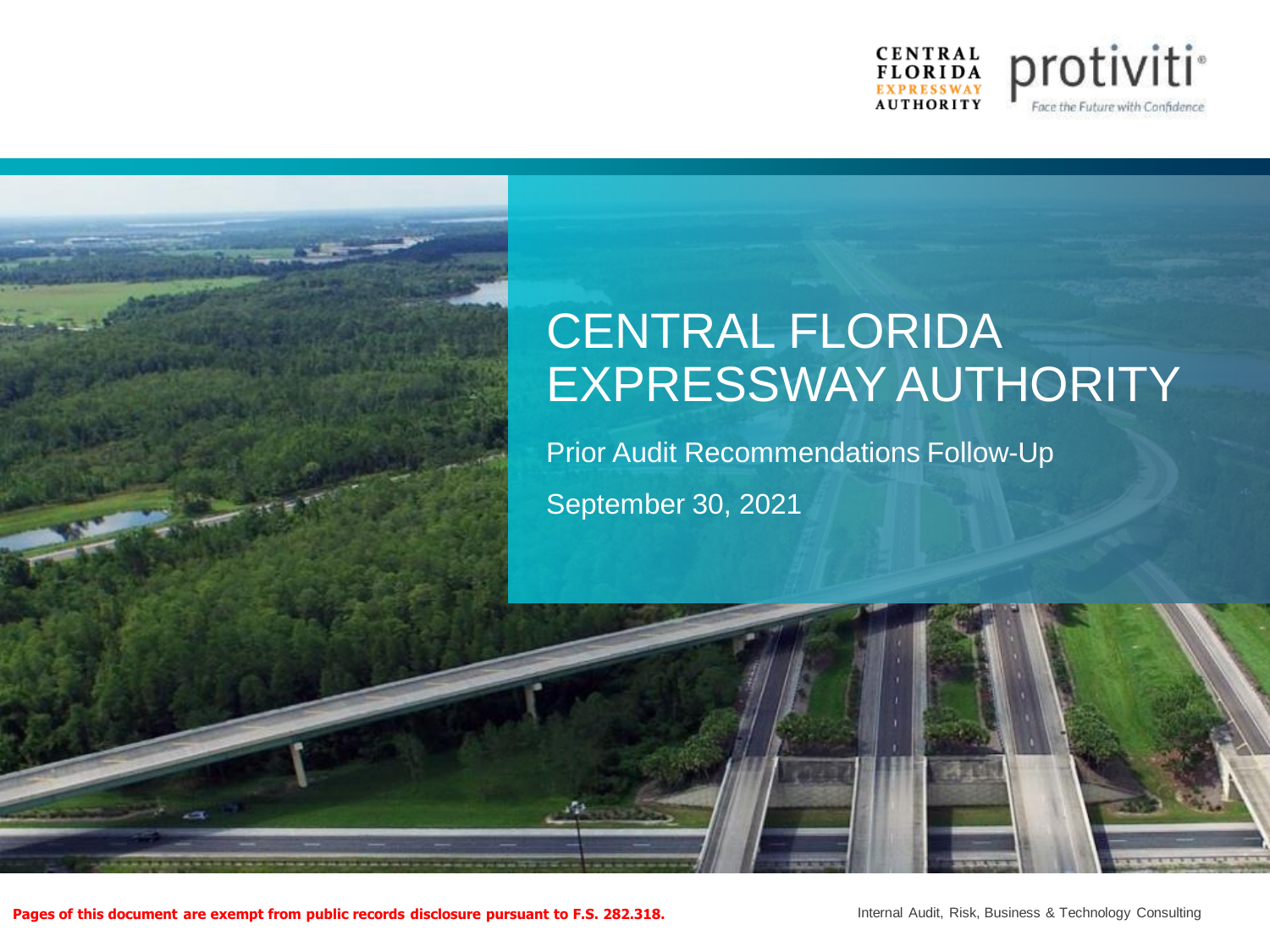

# CENTRAL FLORIDA EXPRESSWAY AUTHORITY

Prior Audit Recommendations Follow-Up September 30, 2021

**Pages of this document are exempt from public records disclosure pursuant to F.S. 282.318.**

Internal Audit, Risk, Business & Technology Consulting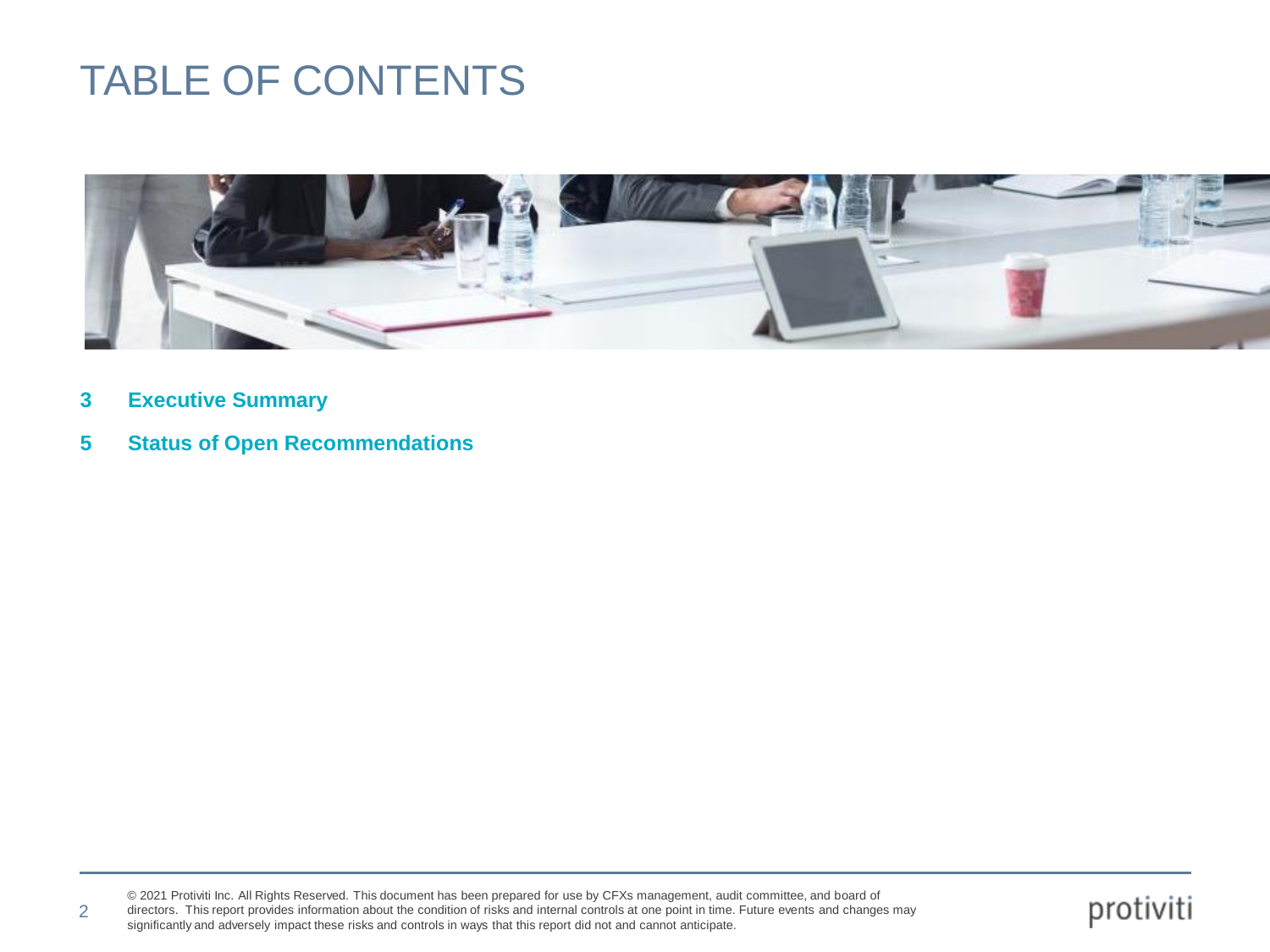### TABLE OF CONTENTS



**3 Executive Summary**

2

**5 Status of Open Recommendations**

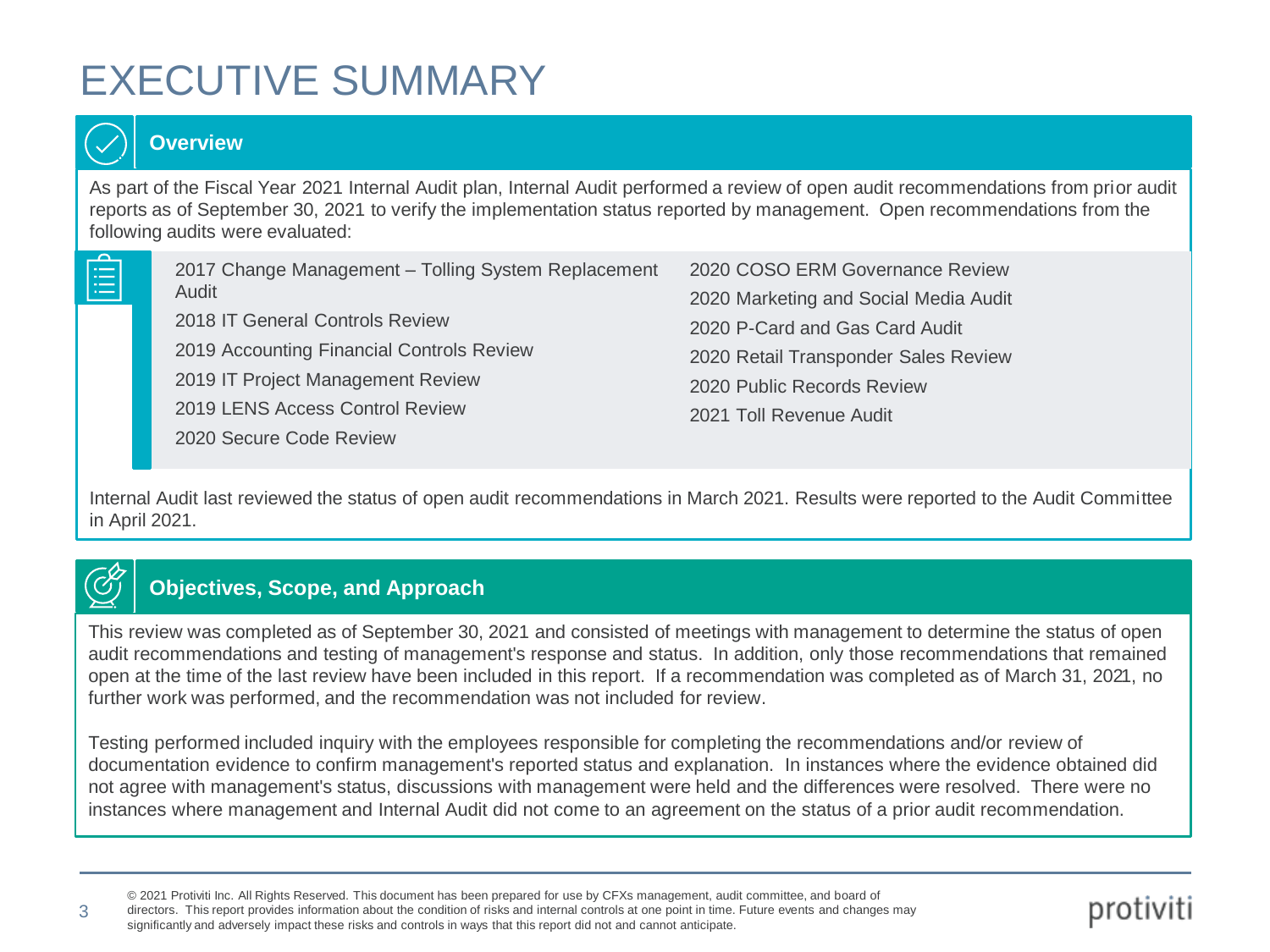## EXECUTIVE SUMMARY



3

#### **Overview**

As part of the Fiscal Year 2021 Internal Audit plan, Internal Audit performed a review of open audit recommendations from prior audit reports as of September 30, 2021 to verify the implementation status reported by management. Open recommendations from the following audits were evaluated:

| 2017 Change Management - Tolling System Replacement | 2020 COSO ERM Governance Review       |
|-----------------------------------------------------|---------------------------------------|
| Audit                                               | 2020 Marketing and Social Media Audit |
| 2018 IT General Controls Review                     | 2020 P-Card and Gas Card Audit        |
| 2019 Accounting Financial Controls Review           | 2020 Retail Transponder Sales Review  |
| 2019 IT Project Management Review                   | 2020 Public Records Review            |
| 2019 LENS Access Control Review                     | 2021 Toll Revenue Audit               |
| 2020 Secure Code Review                             |                                       |

Internal Audit last reviewed the status of open audit recommendations in March 2021. Results were reported to the Audit Committee in April 2021.

### **Objectives, Scope, and Approach**

This review was completed as of September 30, 2021 and consisted of meetings with management to determine the status of open audit recommendations and testing of management's response and status. In addition, only those recommendations that remained open at the time of the last review have been included in this report. If a recommendation was completed as of March 31, 2021, no further work was performed, and the recommendation was not included for review.

Testing performed included inquiry with the employees responsible for completing the recommendations and/or review of documentation evidence to confirm management's reported status and explanation. In instances where the evidence obtained did not agree with management's status, discussions with management were held and the differences were resolved. There were no instances where management and Internal Audit did not come to an agreement on the status of a prior audit recommendation.

© 2021 Protiviti Inc. All Rights Reserved. This document has been prepared for use by CFXs management, audit committee, and board of directors. This report provides information about the condition of risks and internal controls at one point in time. Future events and changes may

significantly and adversely impact these risks and controls in ways that this report did not and cannot anticipate.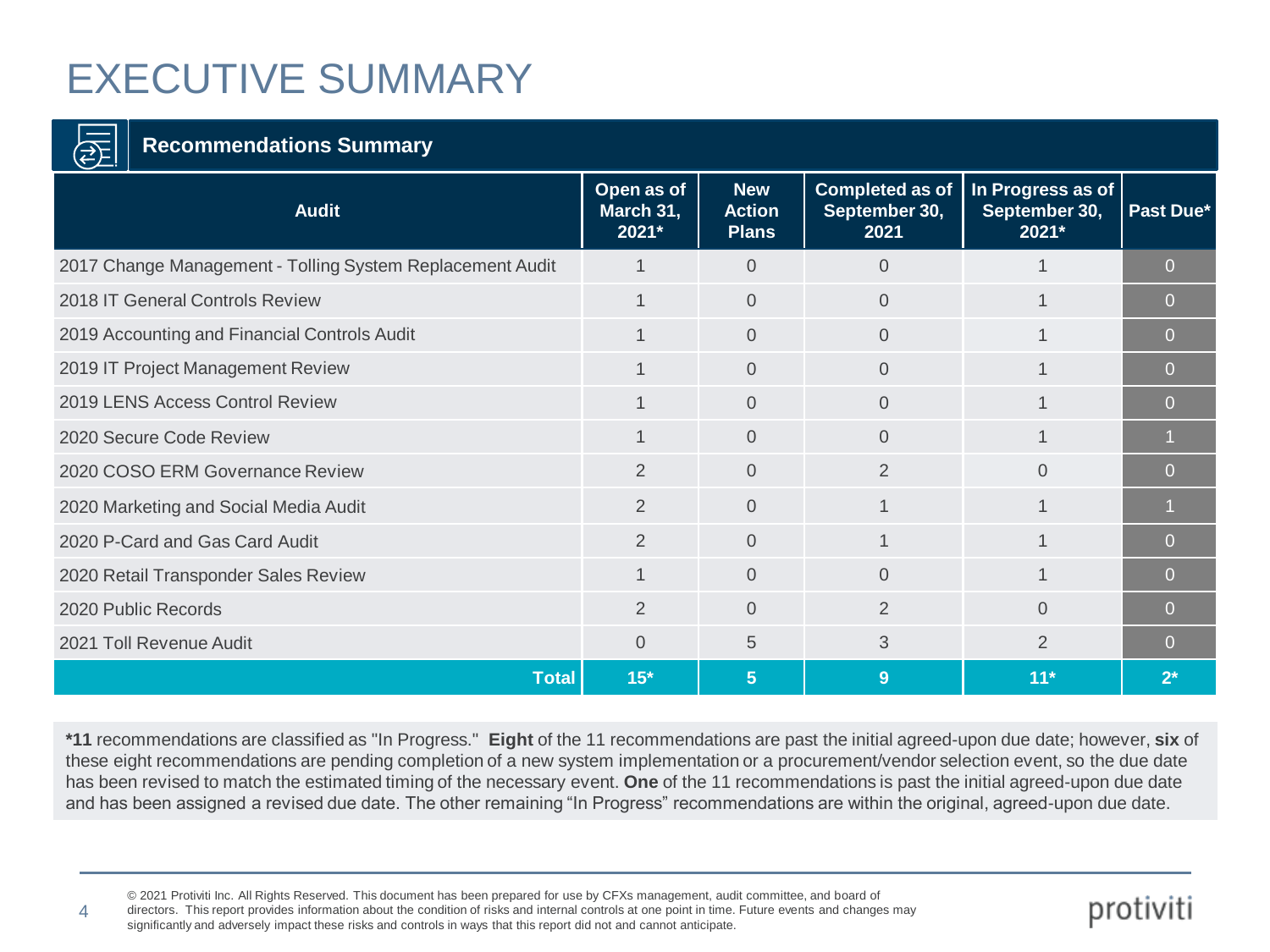# EXECUTIVE SUMMARY

### **Recommendations Summary**

4

| $\cup$ $\rightarrow$                                      |                                  |                                             |                                                 |                                             |           |
|-----------------------------------------------------------|----------------------------------|---------------------------------------------|-------------------------------------------------|---------------------------------------------|-----------|
| <b>Audit</b>                                              | Open as of<br>March 31,<br>2021* | <b>New</b><br><b>Action</b><br><b>Plans</b> | <b>Completed as of</b><br>September 30,<br>2021 | In Progress as of<br>September 30,<br>2021* | Past Due* |
| 2017 Change Management - Tolling System Replacement Audit | $\mathbf 1$                      | $\Omega$                                    | $\Omega$                                        | 1                                           | $\Omega$  |
| 2018 IT General Controls Review                           |                                  | $\Omega$                                    | $\Omega$                                        |                                             | $\Omega$  |
| 2019 Accounting and Financial Controls Audit              | $\overline{1}$                   | $\overline{0}$                              | $\Omega$                                        | $\overline{1}$                              | $\Omega$  |
| 2019 IT Project Management Review                         | 1                                | $\Omega$                                    | $\Omega$                                        | 1                                           | $\Omega$  |
| 2019 LENS Access Control Review                           |                                  | $\Omega$                                    | $\Omega$                                        |                                             | $\Omega$  |
| 2020 Secure Code Review                                   | $\overline{1}$                   | $\Omega$                                    | $\Omega$                                        | 1                                           |           |
| 2020 COSO ERM Governance Review                           | 2                                | $\Omega$                                    | $\overline{2}$                                  | $\Omega$                                    | $\Omega$  |
| 2020 Marketing and Social Media Audit                     | $\overline{2}$                   | $\Omega$                                    | 1                                               | $\mathbf 1$                                 |           |
| 2020 P-Card and Gas Card Audit                            | 2                                | $\Omega$                                    |                                                 |                                             | $\Omega$  |
| 2020 Retail Transponder Sales Review                      | $\overline{1}$                   | $\overline{0}$                              | $\Omega$                                        | 1                                           | $\Omega$  |
| 2020 Public Records                                       | 2                                | $\Omega$                                    | 2                                               | $\Omega$                                    | $\Omega$  |
| 2021 Toll Revenue Audit                                   | $\overline{0}$                   | 5                                           | 3                                               | $\overline{2}$                              | 0         |
| <b>Total</b>                                              | $15*$                            | 5 <sup>5</sup>                              | 9                                               | $11*$                                       | $2^*$     |

**\*11** recommendations are classified as "In Progress." **Eight** of the 11 recommendations are past the initial agreed-upon due date; however, **six** of these eight recommendations are pending completion of a new system implementation or a procurement/vendor selection event, so the due date has been revised to match the estimated timing of the necessary event. **One** of the 11 recommendations is past the initial agreed-upon due date and has been assigned a revised due date. The other remaining "In Progress" recommendations are within the original, agreed-upon due date.

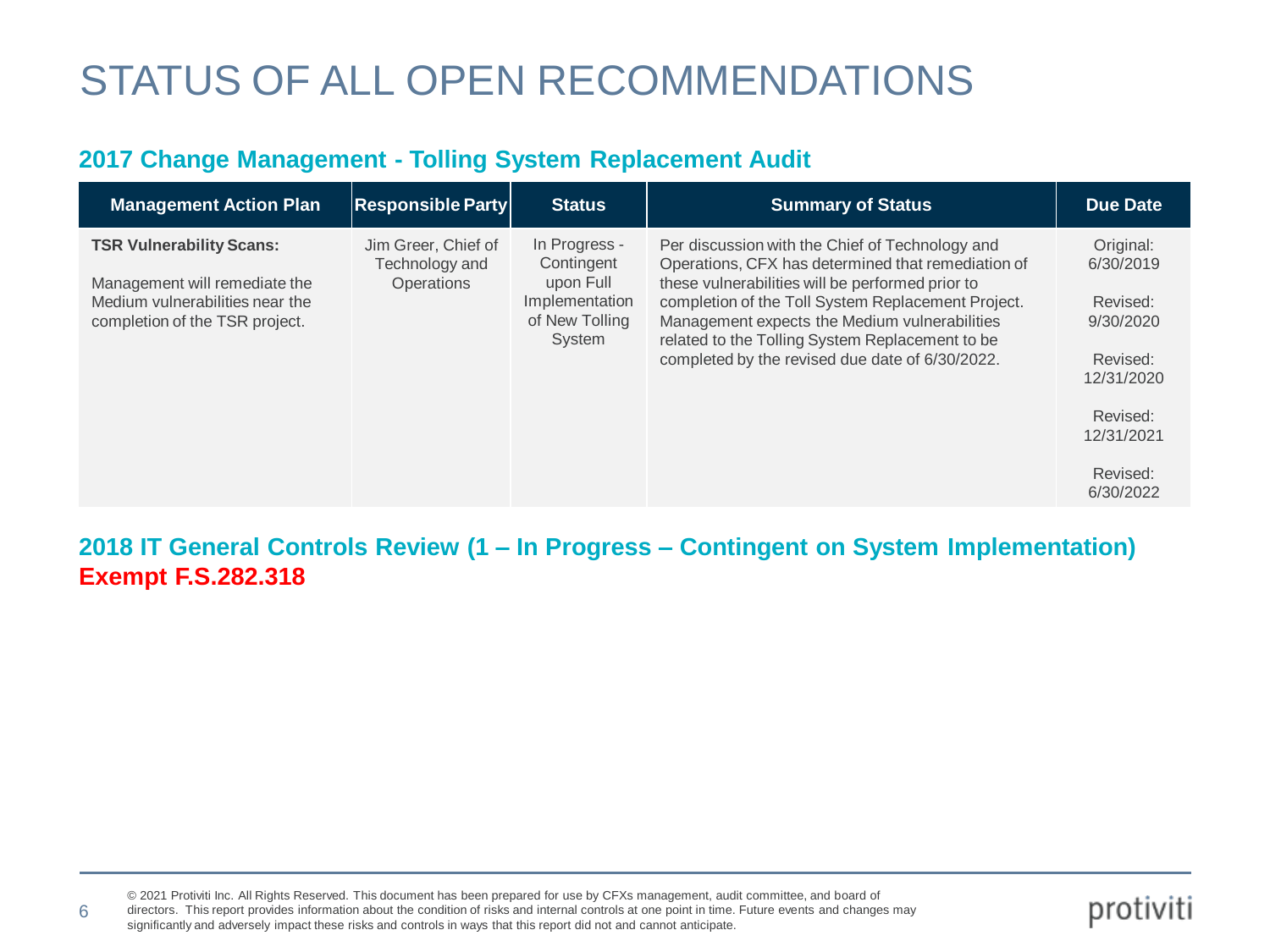#### **2017 Change Management - Tolling System Replacement Audit**

| <b>Management Action Plan</b>                                                                      | $\vert$ Responsible Party $\vert$     | <b>Status</b>                                           | <b>Summary of Status</b>                                                                                                                                                                                                                                      | <b>Due Date</b>                                                           |
|----------------------------------------------------------------------------------------------------|---------------------------------------|---------------------------------------------------------|---------------------------------------------------------------------------------------------------------------------------------------------------------------------------------------------------------------------------------------------------------------|---------------------------------------------------------------------------|
| <b>TSR Vulnerability Scans:</b>                                                                    | Jim Greer, Chief of<br>Technology and | In Progress -<br>Contingent                             | Per discussion with the Chief of Technology and<br>Operations, CFX has determined that remediation of                                                                                                                                                         | Original:<br>6/30/2019                                                    |
| Management will remediate the<br>Medium vulnerabilities near the<br>completion of the TSR project. | <b>Operations</b>                     | upon Full<br>Implementation<br>of New Tolling<br>System | these vulnerabilities will be performed prior to<br>completion of the Toll System Replacement Project.<br>Management expects the Medium vulnerabilities<br>related to the Tolling System Replacement to be<br>completed by the revised due date of 6/30/2022. | Revised:<br>9/30/2020<br>Revised:<br>12/31/2020<br>Revised:<br>12/31/2021 |
|                                                                                                    |                                       |                                                         |                                                                                                                                                                                                                                                               | Revised:<br>6/30/2022                                                     |

#### **2018 IT General Controls Review (1 – In Progress – Contingent on System Implementation) Exempt F.S.282.318**

© 2021 Protiviti Inc. All Rights Reserved. This document has been prepared for use by CFXs management, audit committee, and board of directors. This report provides information about the condition of risks and internal controls at one point in time. Future events and changes may significantly and adversely impact these risks and controls in ways that this report did not and cannot anticipate.

6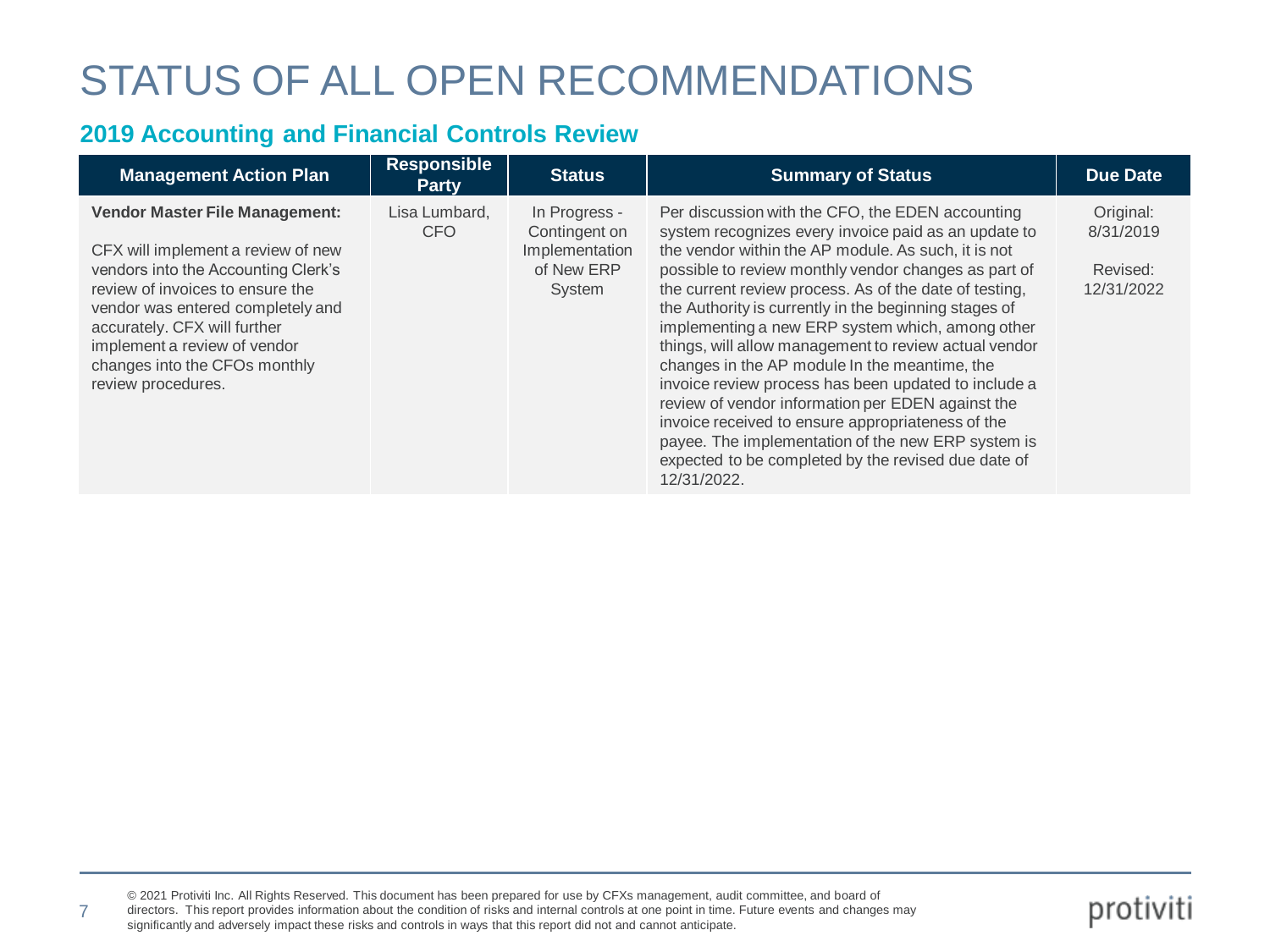#### **2019 Accounting and Financial Controls Review**

| <b>Management Action Plan</b>                                                                                                                                                                                                                                                                                      | <b>Responsible</b><br><b>Party</b> | <b>Status</b>                                                            | <b>Summary of Status</b>                                                                                                                                                                                                                                                                                                                                                                                                                                                                                                                                                                                                                                                                                                                                                                               | <b>Due Date</b>                                  |
|--------------------------------------------------------------------------------------------------------------------------------------------------------------------------------------------------------------------------------------------------------------------------------------------------------------------|------------------------------------|--------------------------------------------------------------------------|--------------------------------------------------------------------------------------------------------------------------------------------------------------------------------------------------------------------------------------------------------------------------------------------------------------------------------------------------------------------------------------------------------------------------------------------------------------------------------------------------------------------------------------------------------------------------------------------------------------------------------------------------------------------------------------------------------------------------------------------------------------------------------------------------------|--------------------------------------------------|
| <b>Vendor Master File Management:</b><br>CFX will implement a review of new<br>vendors into the Accounting Clerk's<br>review of invoices to ensure the<br>vendor was entered completely and<br>accurately. CFX will further<br>implement a review of vendor<br>changes into the CFOs monthly<br>review procedures. | Lisa Lumbard,<br><b>CFO</b>        | In Progress -<br>Contingent on<br>Implementation<br>of New ERP<br>System | Per discussion with the CFO, the EDEN accounting<br>system recognizes every invoice paid as an update to<br>the vendor within the AP module. As such, it is not<br>possible to review monthly vendor changes as part of<br>the current review process. As of the date of testing,<br>the Authority is currently in the beginning stages of<br>implementing a new ERP system which, among other<br>things, will allow management to review actual vendor<br>changes in the AP module In the meantime, the<br>invoice review process has been updated to include a<br>review of vendor information per EDEN against the<br>invoice received to ensure appropriateness of the<br>payee. The implementation of the new ERP system is<br>expected to be completed by the revised due date of<br>12/31/2022. | Original:<br>8/31/2019<br>Revised:<br>12/31/2022 |

7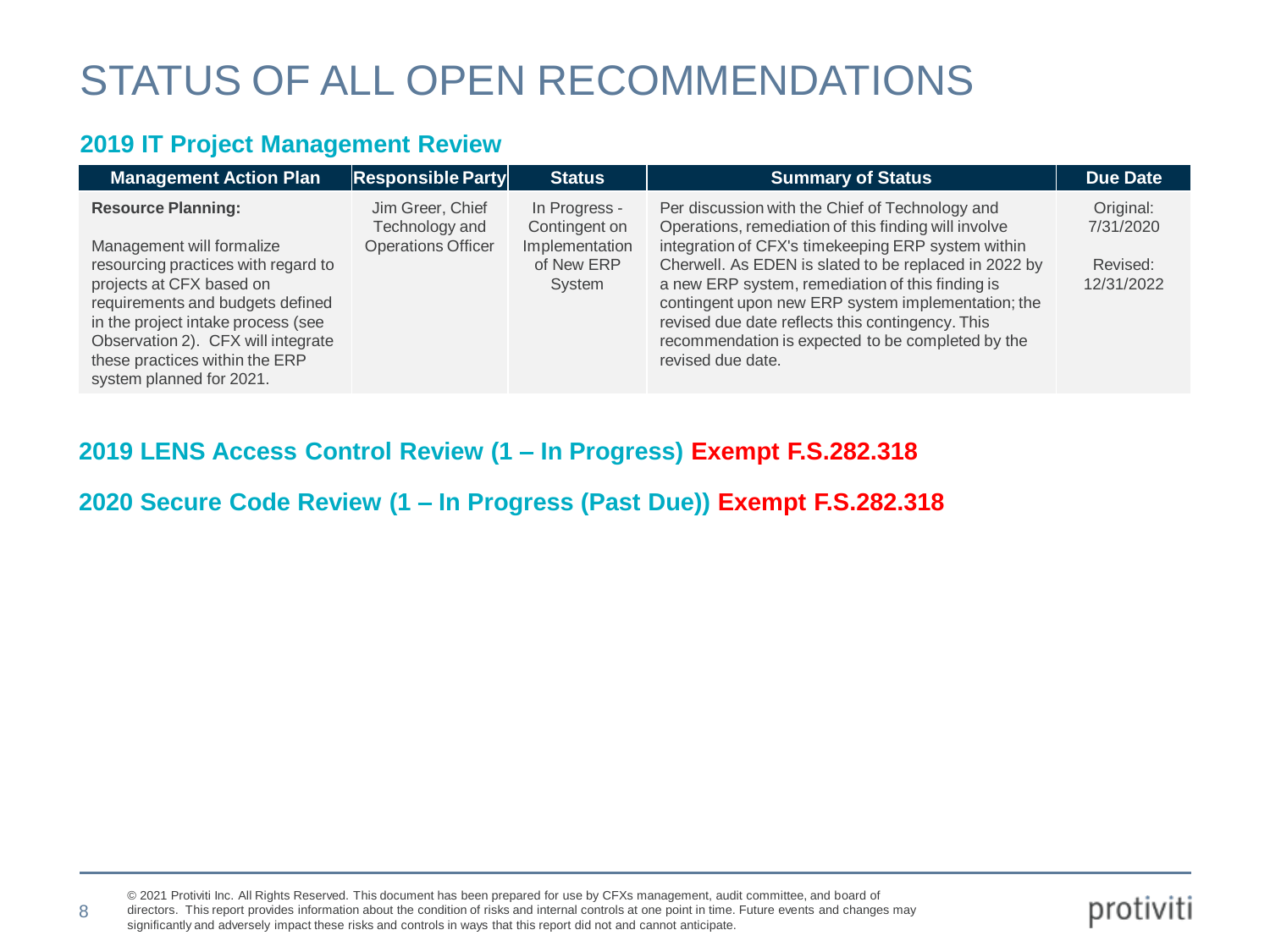#### **2019 IT Project Management Review**

8

| <b>Management Action Plan</b>       | $\vert$ Responsible Party $\vert$  | <b>Status</b>                  | <b>Summary of Status</b>                                                                                | <b>Due Date</b>        |
|-------------------------------------|------------------------------------|--------------------------------|---------------------------------------------------------------------------------------------------------|------------------------|
| <b>Resource Planning:</b>           | Jim Greer, Chief<br>Technology and | In Progress -<br>Contingent on | Per discussion with the Chief of Technology and<br>Operations, remediation of this finding will involve | Original:<br>7/31/2020 |
| Management will formalize           | <b>Operations Officer</b>          | Implementation                 | integration of CFX's timekeeping ERP system within                                                      |                        |
| resourcing practices with regard to |                                    | of New ERP                     | Cherwell. As EDEN is slated to be replaced in 2022 by                                                   | Revised:               |
| projects at CFX based on            |                                    | System                         | a new ERP system, remediation of this finding is                                                        | 12/31/2022             |
| requirements and budgets defined    |                                    |                                | contingent upon new ERP system implementation; the                                                      |                        |
| in the project intake process (see  |                                    |                                | revised due date reflects this contingency. This                                                        |                        |
| Observation 2). CFX will integrate  |                                    |                                | recommendation is expected to be completed by the                                                       |                        |
| these practices within the ERP      |                                    |                                | revised due date.                                                                                       |                        |
| system planned for 2021.            |                                    |                                |                                                                                                         |                        |

#### **2019 LENS Access Control Review (1 – In Progress) Exempt F.S.282.318**

#### **2020 Secure Code Review (1 – In Progress (Past Due)) Exempt F.S.282.318**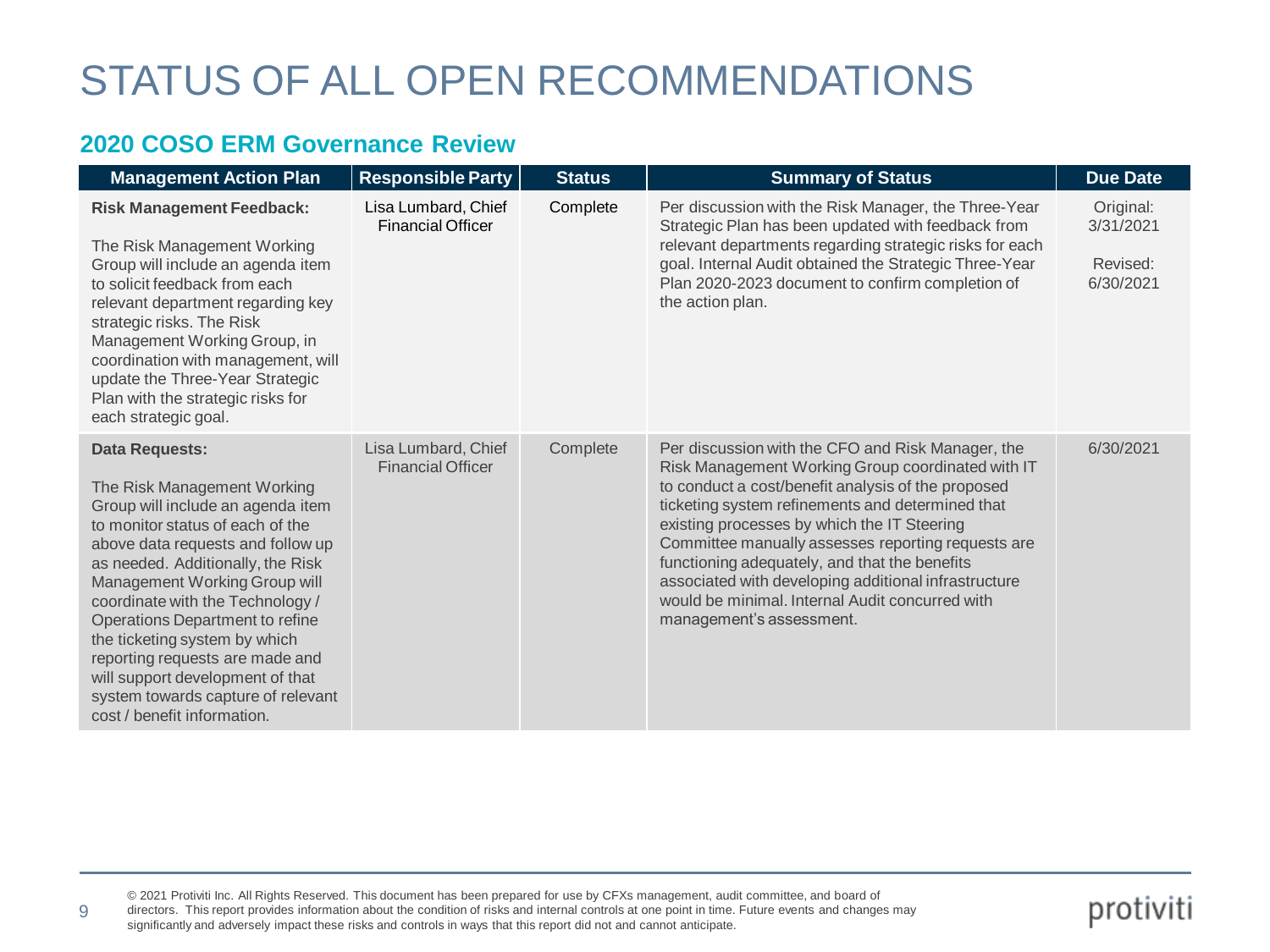#### **2020 COSO ERM Governance Review**

9

| <b>Management Action Plan</b>                                                                                                                                                                                                                                                                                                                                                                                                                                                                | <b>Responsible Party</b>                        | <b>Status</b> | <b>Summary of Status</b>                                                                                                                                                                                                                                                                                                                                                                                                                                                                                      | <b>Due Date</b>                                 |
|----------------------------------------------------------------------------------------------------------------------------------------------------------------------------------------------------------------------------------------------------------------------------------------------------------------------------------------------------------------------------------------------------------------------------------------------------------------------------------------------|-------------------------------------------------|---------------|---------------------------------------------------------------------------------------------------------------------------------------------------------------------------------------------------------------------------------------------------------------------------------------------------------------------------------------------------------------------------------------------------------------------------------------------------------------------------------------------------------------|-------------------------------------------------|
| <b>Risk Management Feedback:</b><br>The Risk Management Working<br>Group will include an agenda item<br>to solicit feedback from each<br>relevant department regarding key<br>strategic risks. The Risk<br>Management Working Group, in<br>coordination with management, will<br>update the Three-Year Strategic<br>Plan with the strategic risks for<br>each strategic goal.                                                                                                                | Lisa Lumbard, Chief<br><b>Financial Officer</b> | Complete      | Per discussion with the Risk Manager, the Three-Year<br>Strategic Plan has been updated with feedback from<br>relevant departments regarding strategic risks for each<br>goal. Internal Audit obtained the Strategic Three-Year<br>Plan 2020-2023 document to confirm completion of<br>the action plan.                                                                                                                                                                                                       | Original:<br>3/31/2021<br>Revised:<br>6/30/2021 |
| <b>Data Requests:</b><br>The Risk Management Working<br>Group will include an agenda item<br>to monitor status of each of the<br>above data requests and follow up<br>as needed. Additionally, the Risk<br>Management Working Group will<br>coordinate with the Technology /<br>Operations Department to refine<br>the ticketing system by which<br>reporting requests are made and<br>will support development of that<br>system towards capture of relevant<br>cost / benefit information. | Lisa Lumbard, Chief<br><b>Financial Officer</b> | Complete      | Per discussion with the CFO and Risk Manager, the<br>Risk Management Working Group coordinated with IT<br>to conduct a cost/benefit analysis of the proposed<br>ticketing system refinements and determined that<br>existing processes by which the IT Steering<br>Committee manually assesses reporting requests are<br>functioning adequately, and that the benefits<br>associated with developing additional infrastructure<br>would be minimal. Internal Audit concurred with<br>management's assessment. | 6/30/2021                                       |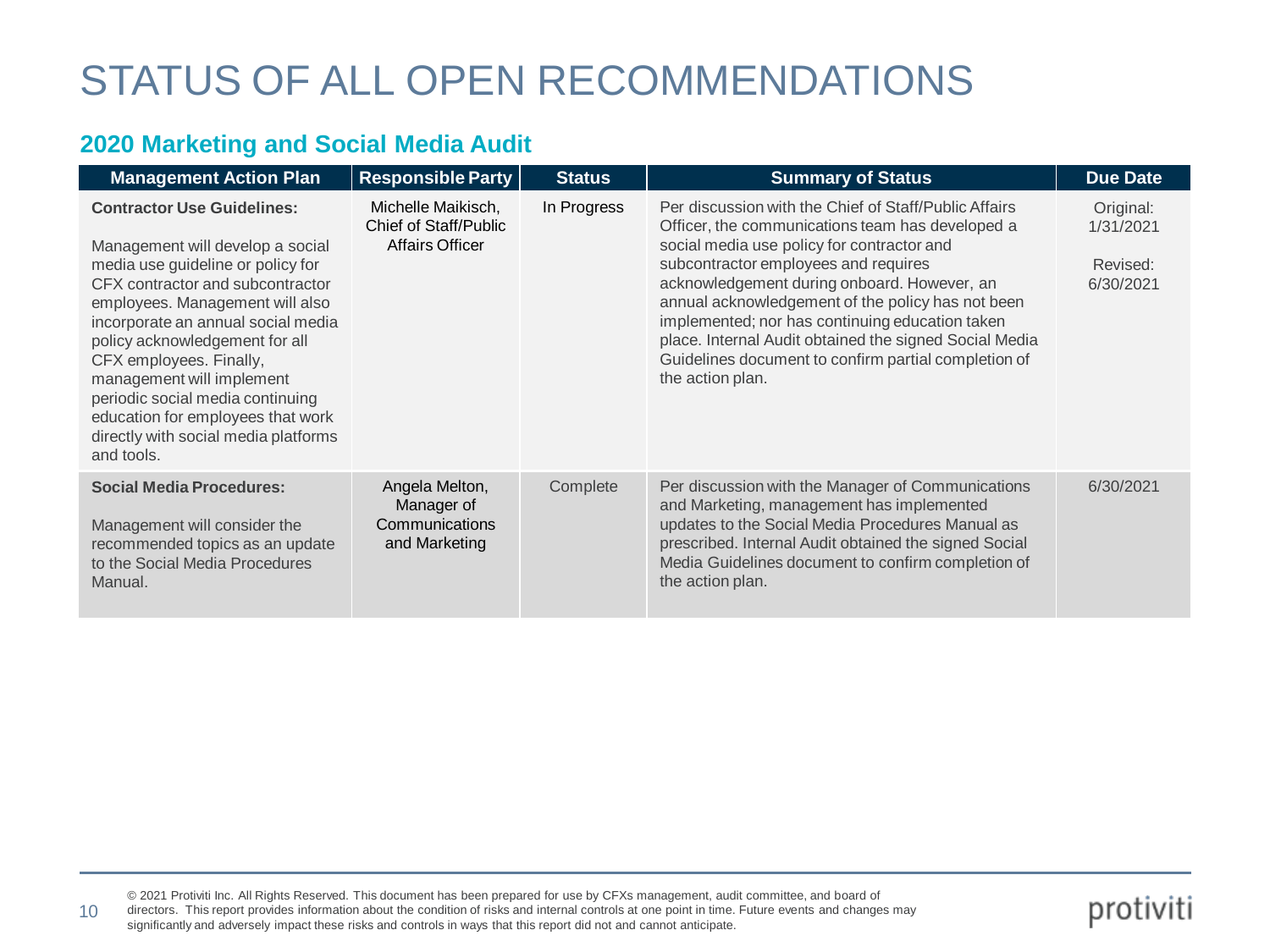### **2020 Marketing and Social Media Audit**

| <b>Management Action Plan</b>                                                                                                                                                                                                                                                                                                                                                                                                                    | <b>Responsible Party</b>                                              | <b>Status</b> | <b>Summary of Status</b>                                                                                                                                                                                                                                                                                                                                                                                                                                                                     | <b>Due Date</b>                                 |
|--------------------------------------------------------------------------------------------------------------------------------------------------------------------------------------------------------------------------------------------------------------------------------------------------------------------------------------------------------------------------------------------------------------------------------------------------|-----------------------------------------------------------------------|---------------|----------------------------------------------------------------------------------------------------------------------------------------------------------------------------------------------------------------------------------------------------------------------------------------------------------------------------------------------------------------------------------------------------------------------------------------------------------------------------------------------|-------------------------------------------------|
| <b>Contractor Use Guidelines:</b><br>Management will develop a social<br>media use guideline or policy for<br>CFX contractor and subcontractor<br>employees. Management will also<br>incorporate an annual social media<br>policy acknowledgement for all<br>CFX employees. Finally,<br>management will implement<br>periodic social media continuing<br>education for employees that work<br>directly with social media platforms<br>and tools. | Michelle Maikisch,<br>Chief of Staff/Public<br><b>Affairs Officer</b> | In Progress   | Per discussion with the Chief of Staff/Public Affairs<br>Officer, the communications team has developed a<br>social media use policy for contractor and<br>subcontractor employees and requires<br>acknowledgement during onboard. However, an<br>annual acknowledgement of the policy has not been<br>implemented; nor has continuing education taken<br>place. Internal Audit obtained the signed Social Media<br>Guidelines document to confirm partial completion of<br>the action plan. | Original:<br>1/31/2021<br>Revised:<br>6/30/2021 |
| <b>Social Media Procedures:</b><br>Management will consider the<br>recommended topics as an update<br>to the Social Media Procedures<br>Manual.                                                                                                                                                                                                                                                                                                  | Angela Melton,<br>Manager of<br>Communications<br>and Marketing       | Complete      | Per discussion with the Manager of Communications<br>and Marketing, management has implemented<br>updates to the Social Media Procedures Manual as<br>prescribed. Internal Audit obtained the signed Social<br>Media Guidelines document to confirm completion of<br>the action plan.                                                                                                                                                                                                        | 6/30/2021                                       |

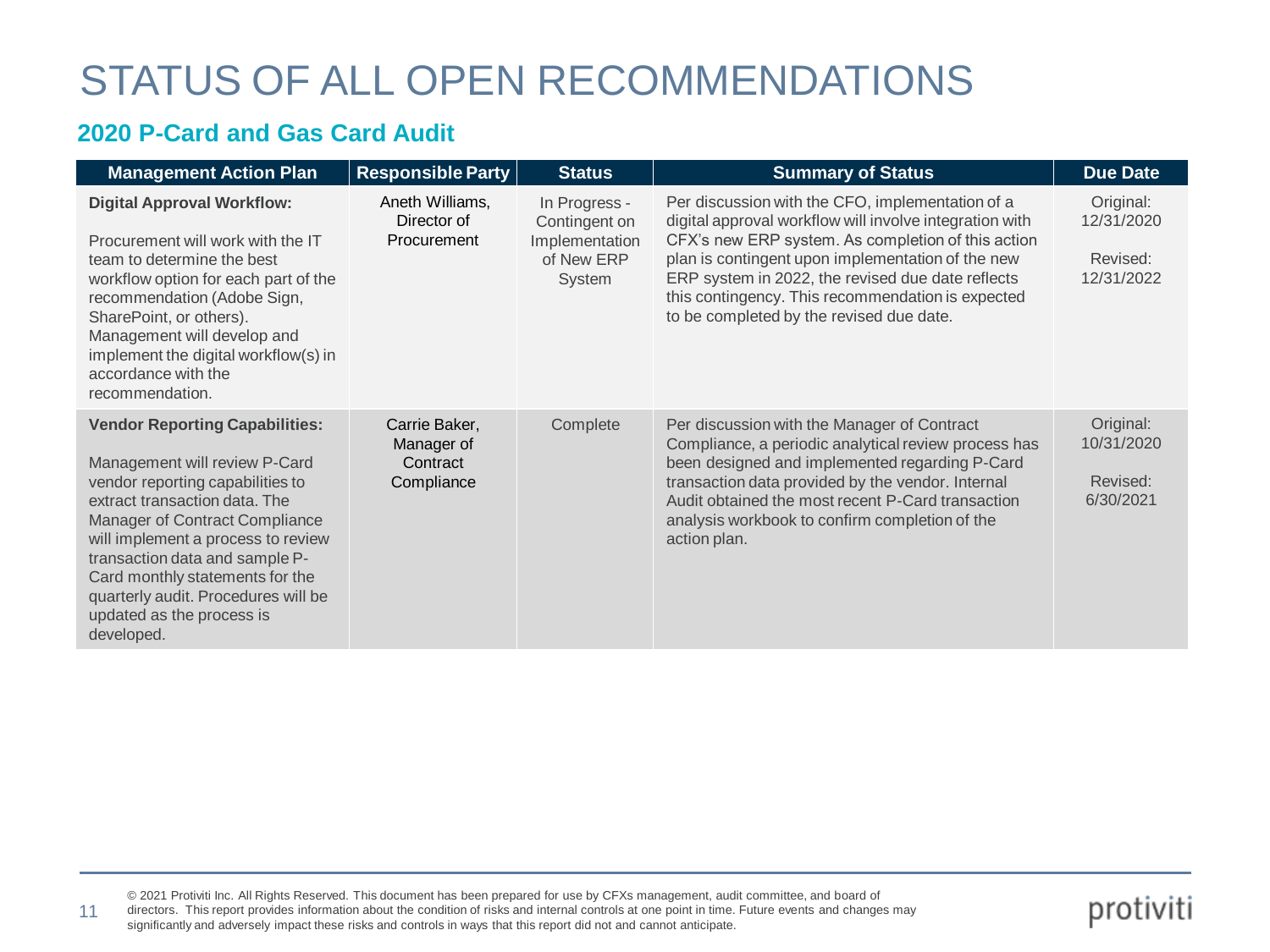#### **2020 P-Card and Gas Card Audit**

11

| <b>Management Action Plan</b>                                                                                                                                                                                                                                                                                                                                              | <b>Responsible Party</b>                              | <b>Status</b>                                                            | <b>Summary of Status</b>                                                                                                                                                                                                                                                                                                                                                     | <b>Due Date</b>                                   |
|----------------------------------------------------------------------------------------------------------------------------------------------------------------------------------------------------------------------------------------------------------------------------------------------------------------------------------------------------------------------------|-------------------------------------------------------|--------------------------------------------------------------------------|------------------------------------------------------------------------------------------------------------------------------------------------------------------------------------------------------------------------------------------------------------------------------------------------------------------------------------------------------------------------------|---------------------------------------------------|
| <b>Digital Approval Workflow:</b><br>Procurement will work with the IT<br>team to determine the best<br>workflow option for each part of the<br>recommendation (Adobe Sign,<br>SharePoint, or others).<br>Management will develop and<br>implement the digital workflow(s) in<br>accordance with the<br>recommendation.                                                    | Aneth Williams,<br>Director of<br>Procurement         | In Progress -<br>Contingent on<br>Implementation<br>of New ERP<br>System | Per discussion with the CFO, implementation of a<br>digital approval workflow will involve integration with<br>CFX's new ERP system. As completion of this action<br>plan is contingent upon implementation of the new<br>ERP system in 2022, the revised due date reflects<br>this contingency. This recommendation is expected<br>to be completed by the revised due date. | Original:<br>12/31/2020<br>Revised:<br>12/31/2022 |
| <b>Vendor Reporting Capabilities:</b><br>Management will review P-Card<br>vendor reporting capabilities to<br>extract transaction data. The<br>Manager of Contract Compliance<br>will implement a process to review<br>transaction data and sample P-<br>Card monthly statements for the<br>quarterly audit. Procedures will be<br>updated as the process is<br>developed. | Carrie Baker,<br>Manager of<br>Contract<br>Compliance | Complete                                                                 | Per discussion with the Manager of Contract<br>Compliance, a periodic analytical review process has<br>been designed and implemented regarding P-Card<br>transaction data provided by the vendor. Internal<br>Audit obtained the most recent P-Card transaction<br>analysis workbook to confirm completion of the<br>action plan.                                            | Original:<br>10/31/2020<br>Revised:<br>6/30/2021  |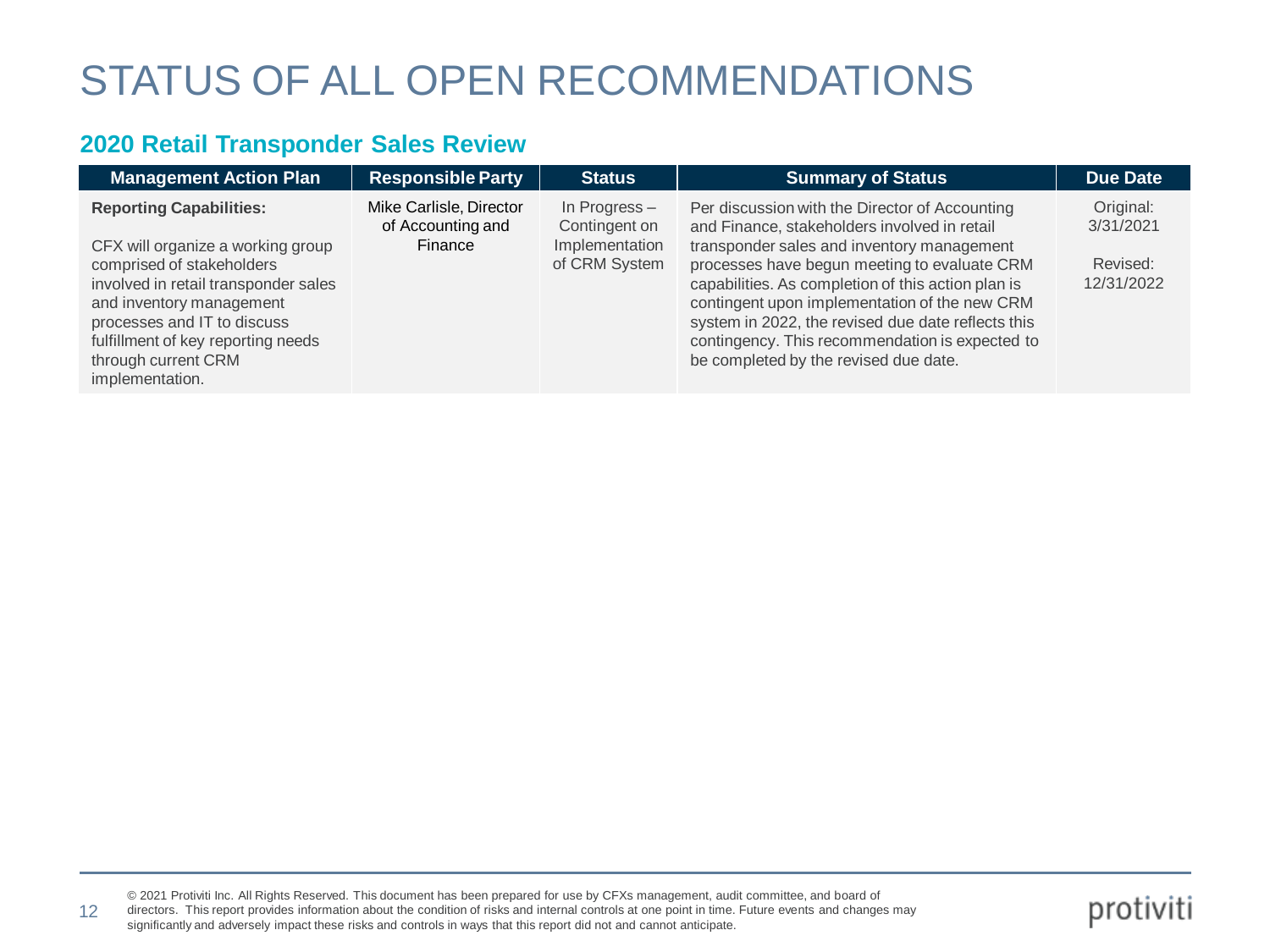#### **2020 Retail Transponder Sales Review**

| <b>Management Action Plan</b>                                                                                                                                                                                                                     | <b>Responsible Party</b>                     | <b>Status</b>                    | <b>Summary of Status</b>                                                                                                                                                                                                                                                                                                                            | <b>Due Date</b>        |
|---------------------------------------------------------------------------------------------------------------------------------------------------------------------------------------------------------------------------------------------------|----------------------------------------------|----------------------------------|-----------------------------------------------------------------------------------------------------------------------------------------------------------------------------------------------------------------------------------------------------------------------------------------------------------------------------------------------------|------------------------|
| <b>Reporting Capabilities:</b>                                                                                                                                                                                                                    | Mike Carlisle, Director<br>of Accounting and | In Progress $-$<br>Contingent on | Per discussion with the Director of Accounting<br>and Finance, stakeholders involved in retail                                                                                                                                                                                                                                                      | Original:<br>3/31/2021 |
| CFX will organize a working group<br>comprised of stakeholders<br>involved in retail transponder sales<br>and inventory management<br>processes and IT to discuss<br>fulfillment of key reporting needs<br>through current CRM<br>implementation. | Finance                                      | Implementation<br>of CRM System  | transponder sales and inventory management<br>processes have begun meeting to evaluate CRM<br>capabilities. As completion of this action plan is<br>contingent upon implementation of the new CRM<br>system in 2022, the revised due date reflects this<br>contingency. This recommendation is expected to<br>be completed by the revised due date. | Revised:<br>12/31/2022 |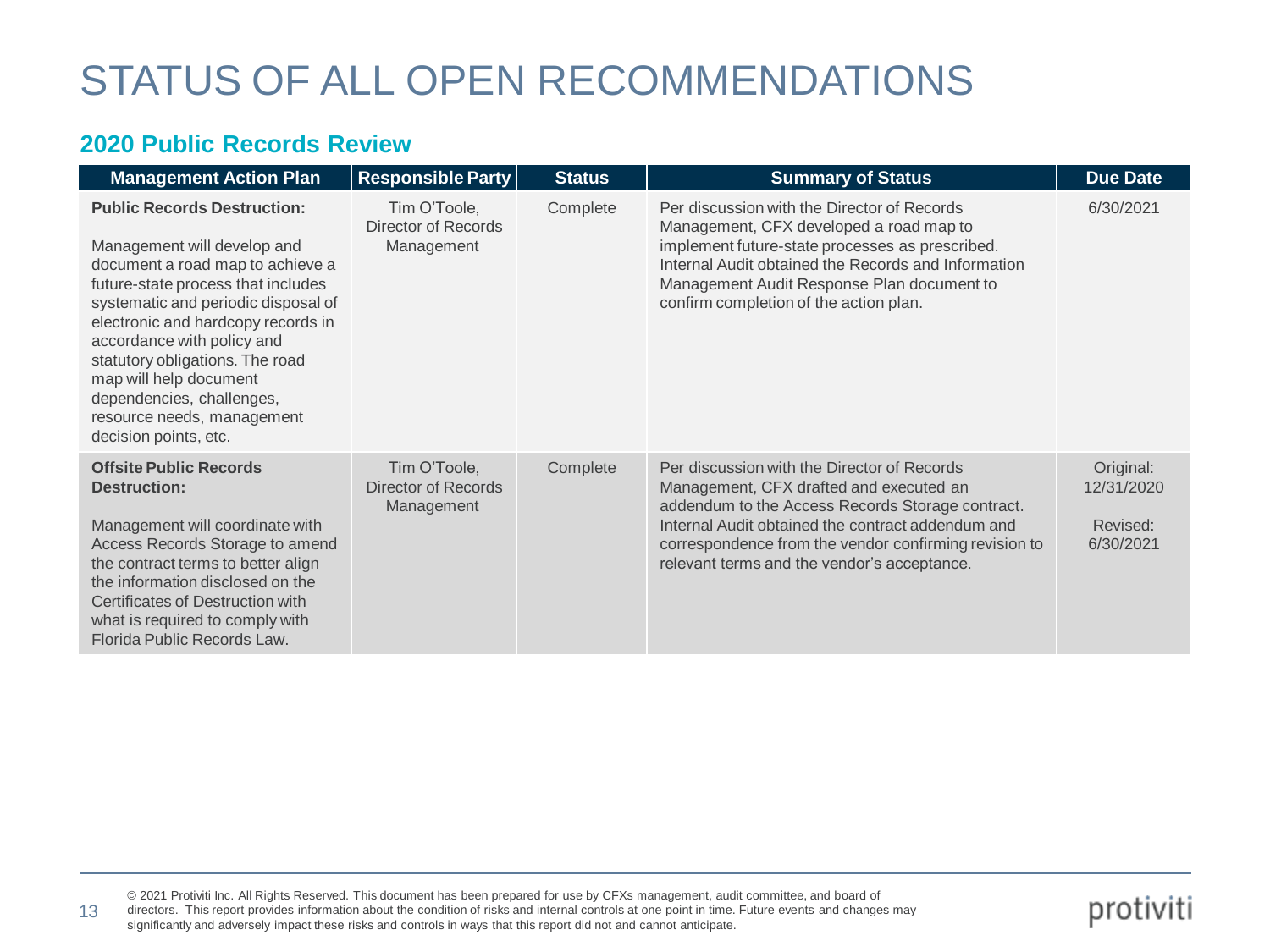#### **2020 Public Records Review**

| <b>Management Action Plan</b>                                                                                                                                                                                                                                                                                                                                                                           | <b>Responsible Party</b>                          | <b>Status</b> | <b>Summary of Status</b>                                                                                                                                                                                                                                                                                | <b>Due Date</b>                                  |
|---------------------------------------------------------------------------------------------------------------------------------------------------------------------------------------------------------------------------------------------------------------------------------------------------------------------------------------------------------------------------------------------------------|---------------------------------------------------|---------------|---------------------------------------------------------------------------------------------------------------------------------------------------------------------------------------------------------------------------------------------------------------------------------------------------------|--------------------------------------------------|
| <b>Public Records Destruction:</b><br>Management will develop and<br>document a road map to achieve a<br>future-state process that includes<br>systematic and periodic disposal of<br>electronic and hardcopy records in<br>accordance with policy and<br>statutory obligations. The road<br>map will help document<br>dependencies, challenges,<br>resource needs, management<br>decision points, etc. | Tim O'Toole,<br>Director of Records<br>Management | Complete      | Per discussion with the Director of Records<br>Management, CFX developed a road map to<br>implement future-state processes as prescribed.<br>Internal Audit obtained the Records and Information<br>Management Audit Response Plan document to<br>confirm completion of the action plan.                | 6/30/2021                                        |
| <b>Offsite Public Records</b><br><b>Destruction:</b><br>Management will coordinate with<br>Access Records Storage to amend<br>the contract terms to better align<br>the information disclosed on the<br>Certificates of Destruction with<br>what is required to comply with<br>Florida Public Records Law.                                                                                              | Tim O'Toole,<br>Director of Records<br>Management | Complete      | Per discussion with the Director of Records<br>Management, CFX drafted and executed an<br>addendum to the Access Records Storage contract.<br>Internal Audit obtained the contract addendum and<br>correspondence from the vendor confirming revision to<br>relevant terms and the vendor's acceptance. | Original:<br>12/31/2020<br>Revised:<br>6/30/2021 |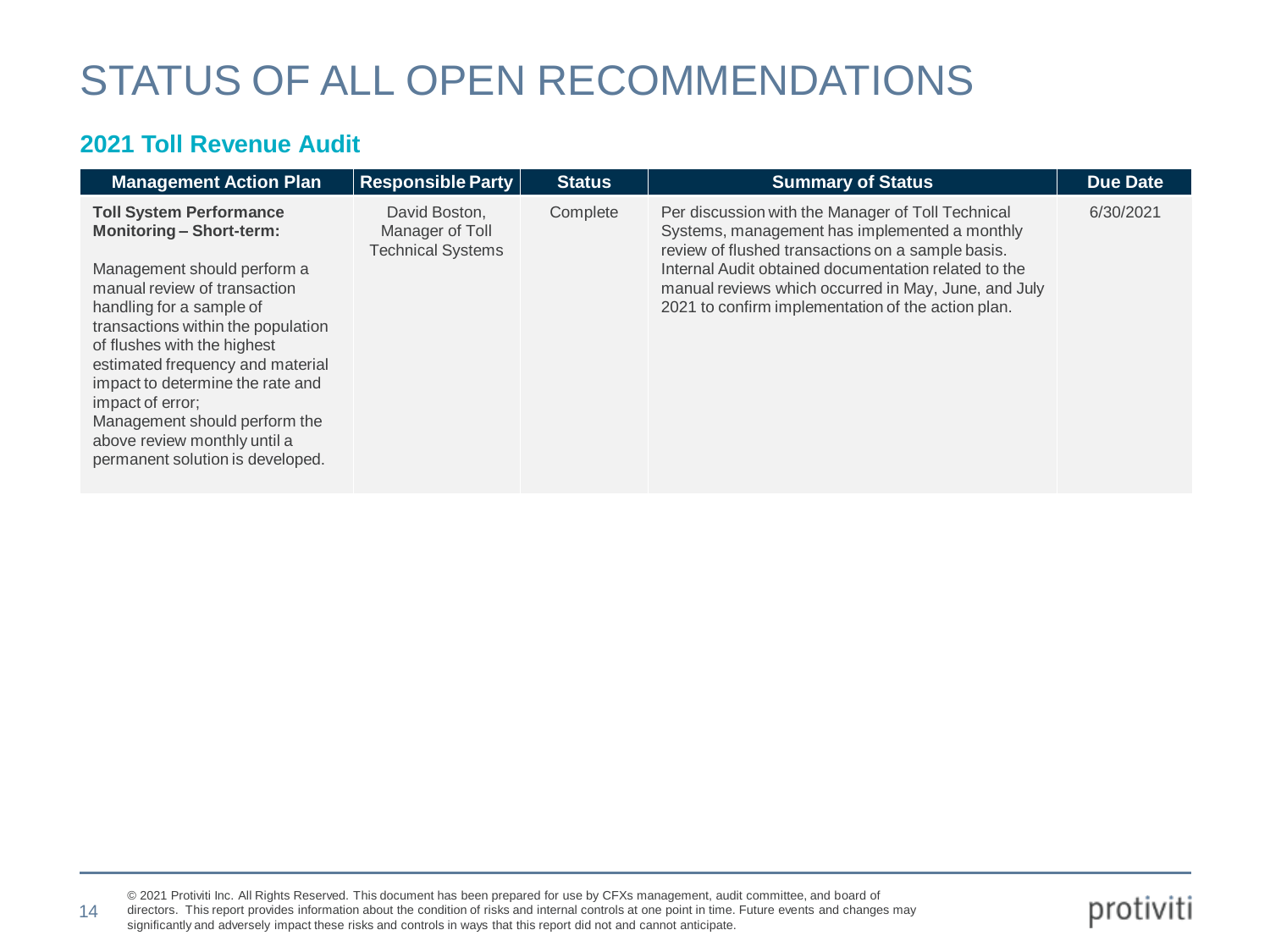#### **2021 Toll Revenue Audit**

| <b>Management Action Plan</b>                                                                                                                                                                                                                                                                                                                                                                                                      | <b>Responsible Party</b>                                     | <b>Status</b> | <b>Summary of Status</b>                                                                                                                                                                                                                                                                                                      | <b>Due Date</b> |
|------------------------------------------------------------------------------------------------------------------------------------------------------------------------------------------------------------------------------------------------------------------------------------------------------------------------------------------------------------------------------------------------------------------------------------|--------------------------------------------------------------|---------------|-------------------------------------------------------------------------------------------------------------------------------------------------------------------------------------------------------------------------------------------------------------------------------------------------------------------------------|-----------------|
| <b>Toll System Performance</b><br><b>Monitoring - Short-term:</b><br>Management should perform a<br>manual review of transaction<br>handling for a sample of<br>transactions within the population<br>of flushes with the highest<br>estimated frequency and material<br>impact to determine the rate and<br>impact of error:<br>Management should perform the<br>above review monthly until a<br>permanent solution is developed. | David Boston.<br>Manager of Toll<br><b>Technical Systems</b> | Complete      | Per discussion with the Manager of Toll Technical<br>Systems, management has implemented a monthly<br>review of flushed transactions on a sample basis.<br>Internal Audit obtained documentation related to the<br>manual reviews which occurred in May, June, and July<br>2021 to confirm implementation of the action plan. | 6/30/2021       |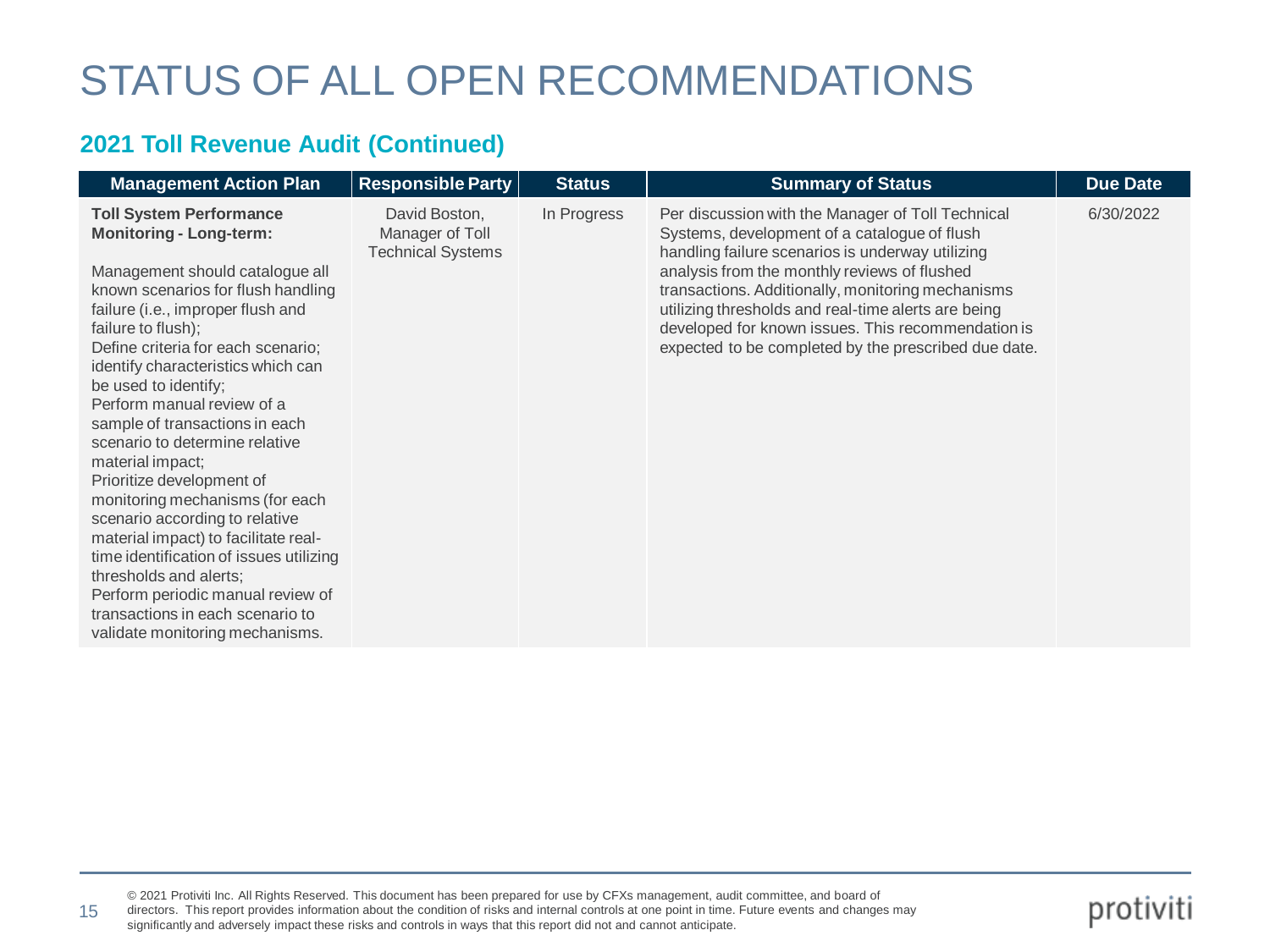#### **2021 Toll Revenue Audit (Continued)**

15

| <b>Management Action Plan</b>                                                                                                                                                                                                                                                                                                                                                                                                                                                                                                                                                                                                                                                                                                                             | <b>Responsible Party</b>                                     | <b>Status</b> | <b>Summary of Status</b>                                                                                                                                                                                                                                                                                                                                                                                                        | <b>Due Date</b> |
|-----------------------------------------------------------------------------------------------------------------------------------------------------------------------------------------------------------------------------------------------------------------------------------------------------------------------------------------------------------------------------------------------------------------------------------------------------------------------------------------------------------------------------------------------------------------------------------------------------------------------------------------------------------------------------------------------------------------------------------------------------------|--------------------------------------------------------------|---------------|---------------------------------------------------------------------------------------------------------------------------------------------------------------------------------------------------------------------------------------------------------------------------------------------------------------------------------------------------------------------------------------------------------------------------------|-----------------|
| <b>Toll System Performance</b><br><b>Monitoring - Long-term:</b><br>Management should catalogue all<br>known scenarios for flush handling<br>failure (i.e., improper flush and<br>failure to flush);<br>Define criteria for each scenario;<br>identify characteristics which can<br>be used to identify;<br>Perform manual review of a<br>sample of transactions in each<br>scenario to determine relative<br>material impact;<br>Prioritize development of<br>monitoring mechanisms (for each<br>scenario according to relative<br>material impact) to facilitate real-<br>time identification of issues utilizing<br>thresholds and alerts;<br>Perform periodic manual review of<br>transactions in each scenario to<br>validate monitoring mechanisms. | David Boston,<br>Manager of Toll<br><b>Technical Systems</b> | In Progress   | Per discussion with the Manager of Toll Technical<br>Systems, development of a catalogue of flush<br>handling failure scenarios is underway utilizing<br>analysis from the monthly reviews of flushed<br>transactions. Additionally, monitoring mechanisms<br>utilizing thresholds and real-time alerts are being<br>developed for known issues. This recommendation is<br>expected to be completed by the prescribed due date. | 6/30/2022       |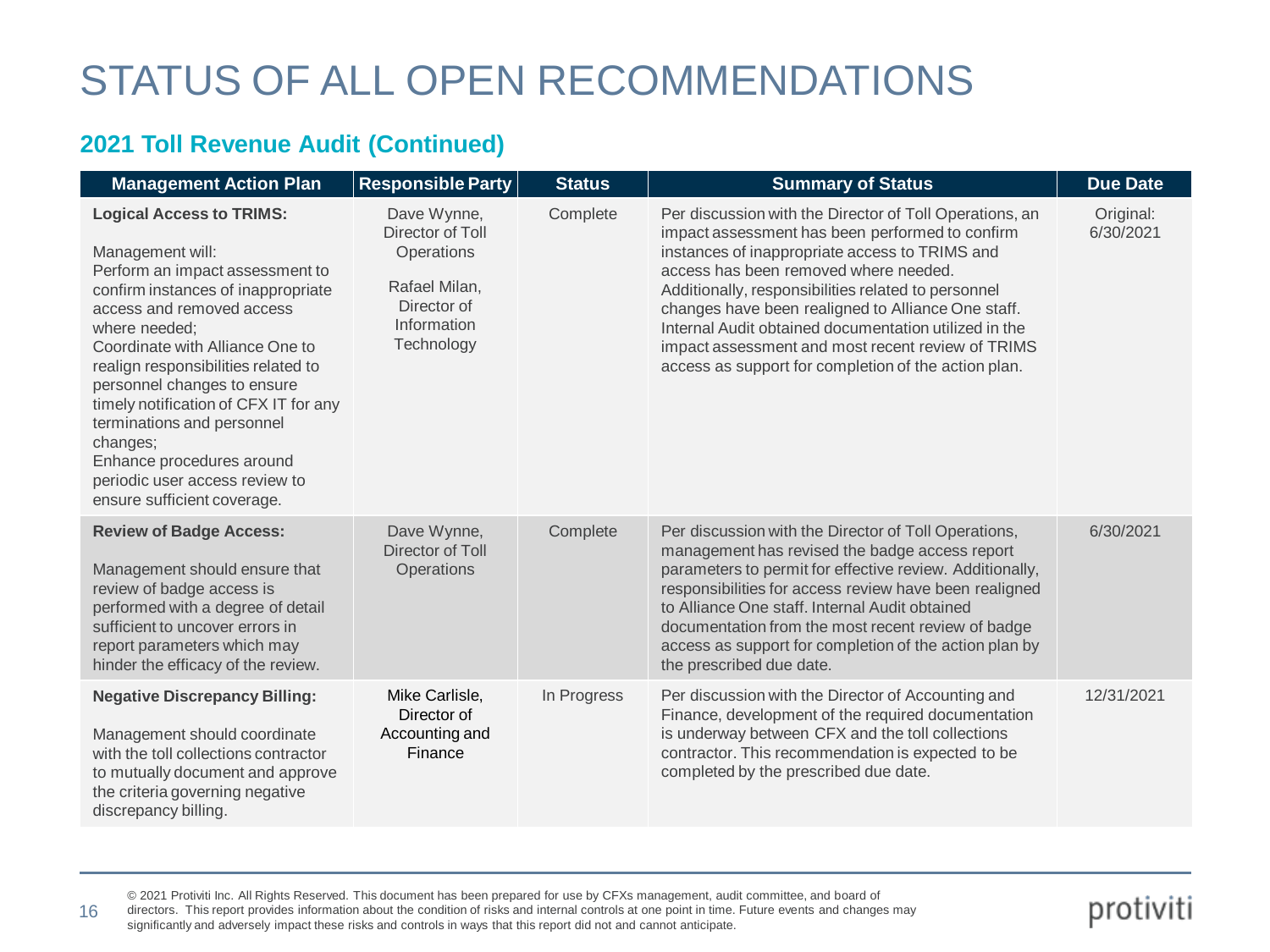#### **2021 Toll Revenue Audit (Continued)**

| <b>Management Action Plan</b>                                                                                                                                                                                                                                                                                                                                                                                                                                        | <b>Responsible Party</b>                                                                                          | <b>Status</b> | <b>Summary of Status</b>                                                                                                                                                                                                                                                                                                                                                                                                                                                                 | <b>Due Date</b>        |
|----------------------------------------------------------------------------------------------------------------------------------------------------------------------------------------------------------------------------------------------------------------------------------------------------------------------------------------------------------------------------------------------------------------------------------------------------------------------|-------------------------------------------------------------------------------------------------------------------|---------------|------------------------------------------------------------------------------------------------------------------------------------------------------------------------------------------------------------------------------------------------------------------------------------------------------------------------------------------------------------------------------------------------------------------------------------------------------------------------------------------|------------------------|
| <b>Logical Access to TRIMS:</b><br>Management will:<br>Perform an impact assessment to<br>confirm instances of inappropriate<br>access and removed access<br>where needed;<br>Coordinate with Alliance One to<br>realign responsibilities related to<br>personnel changes to ensure<br>timely notification of CFX IT for any<br>terminations and personnel<br>changes:<br>Enhance procedures around<br>periodic user access review to<br>ensure sufficient coverage. | Dave Wynne,<br>Director of Toll<br><b>Operations</b><br>Rafael Milan,<br>Director of<br>Information<br>Technology | Complete      | Per discussion with the Director of Toll Operations, an<br>impact assessment has been performed to confirm<br>instances of inappropriate access to TRIMS and<br>access has been removed where needed.<br>Additionally, responsibilities related to personnel<br>changes have been realigned to Alliance One staff.<br>Internal Audit obtained documentation utilized in the<br>impact assessment and most recent review of TRIMS<br>access as support for completion of the action plan. | Original:<br>6/30/2021 |
| <b>Review of Badge Access:</b><br>Management should ensure that<br>review of badge access is<br>performed with a degree of detail<br>sufficient to uncover errors in<br>report parameters which may<br>hinder the efficacy of the review.                                                                                                                                                                                                                            | Dave Wynne,<br>Director of Toll<br>Operations                                                                     | Complete      | Per discussion with the Director of Toll Operations,<br>management has revised the badge access report<br>parameters to permit for effective review. Additionally,<br>responsibilities for access review have been realigned<br>to Alliance One staff, Internal Audit obtained<br>documentation from the most recent review of badge<br>access as support for completion of the action plan by<br>the prescribed due date.                                                               | 6/30/2021              |
| <b>Negative Discrepancy Billing:</b><br>Management should coordinate<br>with the toll collections contractor<br>to mutually document and approve<br>the criteria governing negative<br>discrepancy billing.                                                                                                                                                                                                                                                          | Mike Carlisle,<br>Director of<br>Accounting and<br>Finance                                                        | In Progress   | Per discussion with the Director of Accounting and<br>Finance, development of the required documentation<br>is underway between CFX and the toll collections<br>contractor. This recommendation is expected to be<br>completed by the prescribed due date.                                                                                                                                                                                                                               | 12/31/2021             |

© 2021 Protiviti Inc. All Rights Reserved. This document has been prepared for use by CFXs management, audit committee, and board of

directors. This report provides information about the condition of risks and internal controls at one point in time. Future events and changes may significantly and adversely impact these risks and controls in ways that this report did not and cannot anticipate. 16